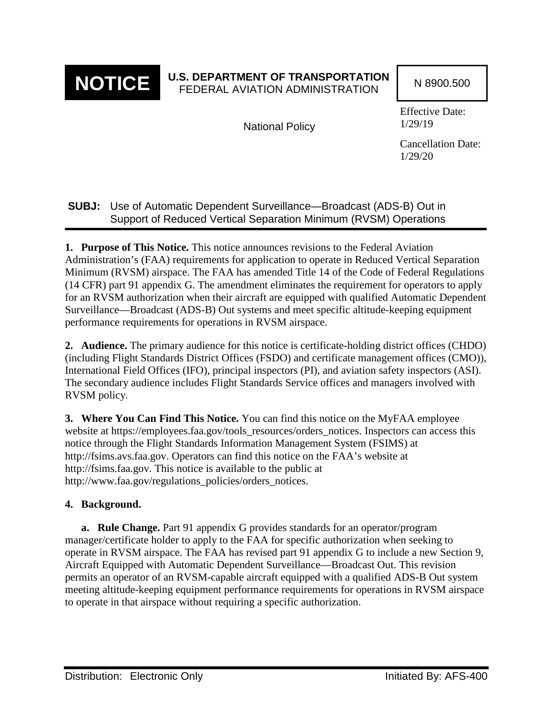

## **NOTICE** U.S. DEPARTMENT OF TRANSPORTATION N 8900.500

National Policy

Effective Date: 1/29/19

Cancellation Date: 1/29/20

## **SUBJ:** Use of Automatic Dependent Surveillance—Broadcast (ADS-B) Out in Support of Reduced Vertical Separation Minimum (RVSM) Operations

**1. Purpose of This Notice.** This notice announces revisions to the Federal Aviation Administration's (FAA) requirements for application to operate in Reduced Vertical Separation Minimum (RVSM) airspace. The FAA has amended Title 14 of the Code of Federal Regulations (14 CFR) part 91 appendix G. The amendment eliminates the requirement for operators to apply for an RVSM authorization when their aircraft are equipped with qualified Automatic Dependent Surveillance—Broadcast (ADS-B) Out systems and meet specific altitude-keeping equipment performance requirements for operations in RVSM airspace.

**2. Audience.** The primary audience for this notice is certificate-holding district offices (CHDO) (including Flight Standards District Offices (FSDO) and certificate management offices (CMO)), International Field Offices (IFO), principal inspectors (PI), and aviation safety inspectors (ASI). The secondary audience includes Flight Standards Service offices and managers involved with RVSM policy.

**3. Where You Can Find This Notice.** You can find this notice on the MyFAA employee website at https://employees.faa.gov/tools\_resources/orders\_notices. Inspectors can access this notice through the Flight Standards Information Management System (FSIMS) at http://fsims.avs.faa.gov. Operators can find this notice on the FAA's website at http://fsims.faa.gov. This notice is available to the public at http://www.faa.gov/regulations\_policies/orders\_notices.

## **4. Background.**

**a. Rule Change.** Part 91 appendix G provides standards for an operator/program manager/certificate holder to apply to the FAA for specific authorization when seeking to operate in RVSM airspace. The FAA has revised part 91 appendix G to include a new Section 9, Aircraft Equipped with Automatic Dependent Surveillance—Broadcast Out. This revision permits an operator of an RVSM-capable aircraft equipped with a qualified ADS-B Out system meeting altitude-keeping equipment performance requirements for operations in RVSM airspace to operate in that airspace without requiring a specific authorization.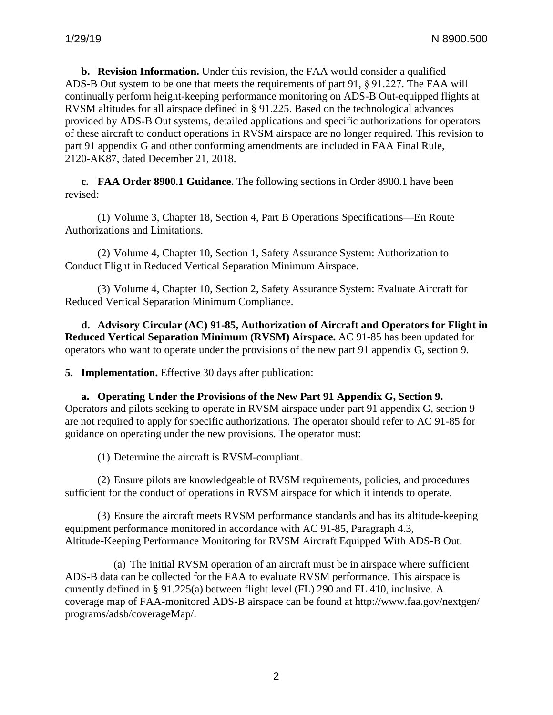**b. Revision Information.** Under this revision, the FAA would consider a qualified ADS-B Out system to be one that meets the requirements of part 91, § 91.227. The FAA will continually perform height-keeping performance monitoring on ADS-B Out-equipped flights at RVSM altitudes for all airspace defined in § 91.225. Based on the technological advances provided by ADS-B Out systems, detailed applications and specific authorizations for operators of these aircraft to conduct operations in RVSM airspace are no longer required. This revision to part 91 appendix G and other conforming amendments are included in FAA Final Rule, 2120-AK87, dated December 21, 2018.

**c. FAA Order 8900.1 Guidance.** The following sections in Order 8900.1 have been revised:

(1) Volume 3, Chapter 18, Section 4, Part B Operations Specifications—En Route Authorizations and Limitations.

(2) Volume 4, Chapter 10, Section 1, Safety Assurance System: Authorization to Conduct Flight in Reduced Vertical Separation Minimum Airspace.

(3) Volume 4, Chapter 10, Section 2, Safety Assurance System: Evaluate Aircraft for Reduced Vertical Separation Minimum Compliance.

**d. Advisory Circular (AC) 91-85, Authorization of Aircraft and Operators for Flight in Reduced Vertical Separation Minimum (RVSM) Airspace.** AC 91-85 has been updated for operators who want to operate under the provisions of the new part 91 appendix G, section 9.

**5. Implementation.** Effective 30 days after publication:

**a. Operating Under the Provisions of the New Part 91 Appendix G, Section 9.** Operators and pilots seeking to operate in RVSM airspace under part 91 appendix G, section 9 are not required to apply for specific authorizations. The operator should refer to AC 91-85 for guidance on operating under the new provisions. The operator must:

(1) Determine the aircraft is RVSM-compliant.

(2) Ensure pilots are knowledgeable of RVSM requirements, policies, and procedures sufficient for the conduct of operations in RVSM airspace for which it intends to operate.

(3) Ensure the aircraft meets RVSM performance standards and has its altitude-keeping equipment performance monitored in accordance with AC 91-85, Paragraph 4.3, Altitude-Keeping Performance Monitoring for RVSM Aircraft Equipped With ADS-B Out.

(a) The initial RVSM operation of an aircraft must be in airspace where sufficient ADS-B data can be collected for the FAA to evaluate RVSM performance. This airspace is currently defined in § 91.225(a) between flight level (FL) 290 and FL 410, inclusive. A coverage map of FAA-monitored ADS-B airspace can be found at http://www.faa.gov/nextgen/ programs/adsb/coverageMap/.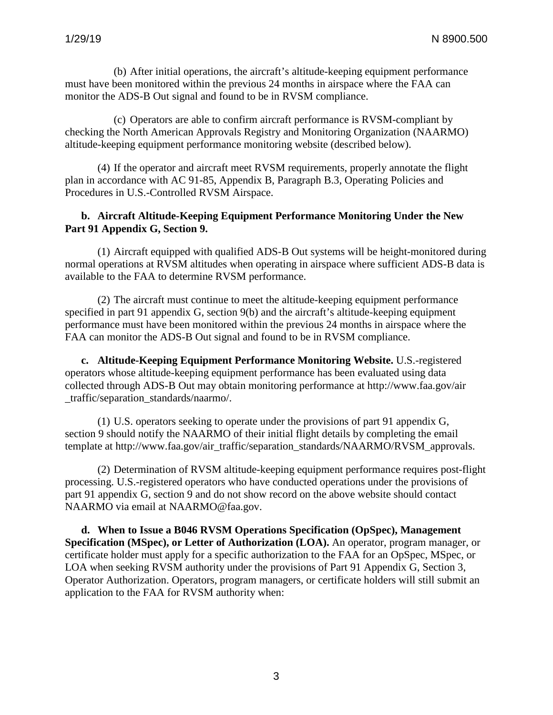(b) After initial operations, the aircraft's altitude-keeping equipment performance must have been monitored within the previous 24 months in airspace where the FAA can monitor the ADS-B Out signal and found to be in RVSM compliance.

(c) Operators are able to confirm aircraft performance is RVSM-compliant by checking the North American Approvals Registry and Monitoring Organization (NAARMO) altitude-keeping equipment performance monitoring website (described below).

(4) If the operator and aircraft meet RVSM requirements, properly annotate the flight plan in accordance with AC 91-85, Appendix B, Paragraph B.3, Operating Policies and Procedures in U.S.-Controlled RVSM Airspace.

## **b. Aircraft Altitude-Keeping Equipment Performance Monitoring Under the New Part 91 Appendix G, Section 9.**

(1) Aircraft equipped with qualified ADS-B Out systems will be height-monitored during normal operations at RVSM altitudes when operating in airspace where sufficient ADS-B data is available to the FAA to determine RVSM performance.

(2) The aircraft must continue to meet the altitude-keeping equipment performance specified in part 91 appendix G, section 9(b) and the aircraft's altitude-keeping equipment performance must have been monitored within the previous 24 months in airspace where the FAA can monitor the ADS-B Out signal and found to be in RVSM compliance.

**c. Altitude-Keeping Equipment Performance Monitoring Website.** U.S.-registered operators whose altitude-keeping equipment performance has been evaluated using data collected through ADS-B Out may obtain monitoring performance at http://www.faa.gov/air \_traffic/separation\_standards/naarmo/.

(1) U.S. operators seeking to operate under the provisions of part 91 appendix G, section 9 should notify the NAARMO of their initial flight details by completing the email template at http://www.faa.gov/air\_traffic/separation\_standards/NAARMO/RVSM\_approvals.

(2) Determination of RVSM altitude-keeping equipment performance requires post-flight processing. U.S.-registered operators who have conducted operations under the provisions of part 91 appendix G, section 9 and do not show record on the above website should contact NAARMO via email at NAARMO@faa.gov.

**d. When to Issue a B046 RVSM Operations Specification (OpSpec), Management Specification (MSpec), or Letter of Authorization (LOA).** An operator, program manager, or certificate holder must apply for a specific authorization to the FAA for an OpSpec, MSpec, or LOA when seeking RVSM authority under the provisions of Part 91 Appendix G, Section 3, Operator Authorization. Operators, program managers, or certificate holders will still submit an application to the FAA for RVSM authority when: